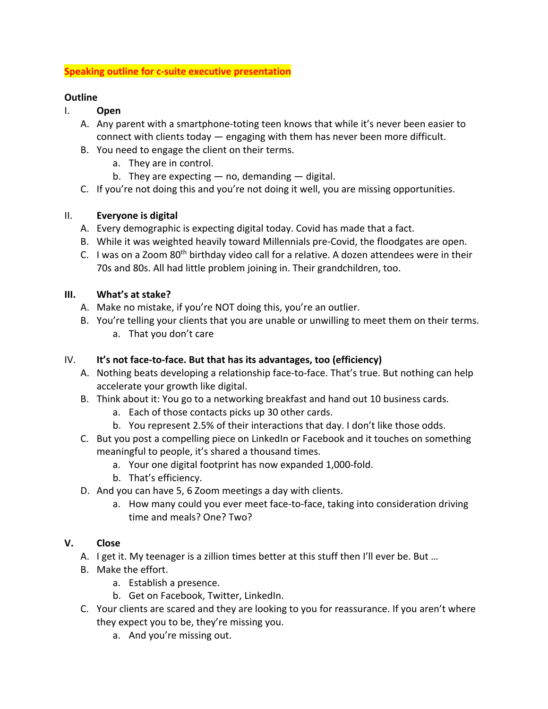#### **Speaking outline for c-suite executive presentation**

#### **Outline**

- I. **Open**
	- A. Any parent with a smartphone-toting teen knows that while it's never been easier to connect with clients today — engaging with them has never been more difficult.
	- B. You need to engage the client on their terms.
		- a. They are in control.
		- b. They are expecting  $-$  no, demanding  $-$  digital.
	- C. If you're not doing this and you're not doing it well, you are missing opportunities.

## II. **Everyone is digital**

- A. Every demographic is expecting digital today. Covid has made that a fact.
- B. While it was weighted heavily toward Millennials pre-Covid, the floodgates are open.
- C. I was on a Zoom  $80<sup>th</sup>$  birthday video call for a relative. A dozen attendees were in their 70s and 80s. All had little problem joining in. Their grandchildren, too.

## **III. What's at stake?**

- A. Make no mistake, if you're NOT doing this, you're an outlier.
- B. You're telling your clients that you are unable or unwilling to meet them on their terms. a. That you don't care

### IV. **It's not face-to-face. But that has its advantages, too (efficiency)**

- A. Nothing beats developing a relationship face-to-face. That's true. But nothing can help accelerate your growth like digital.
- B. Think about it: You go to a networking breakfast and hand out 10 business cards.
	- a. Each of those contacts picks up 30 other cards.
	- b. You represent 2.5% of their interactions that day. I don't like those odds.
- C. But you post a compelling piece on LinkedIn or Facebook and it touches on something meaningful to people, it's shared a thousand times.
	- a. Your one digital footprint has now expanded 1,000-fold.
	- b. That's efficiency.
- D. And you can have 5, 6 Zoom meetings a day with clients.
	- a. How many could you ever meet face-to-face, taking into consideration driving time and meals? One? Two?

# **V. Close**

- A. I get it. My teenager is a zillion times better at this stuff then I'll ever be. But ...
- B. Make the effort.
	- a. Establish a presence.
	- b. Get on Facebook, Twitter, LinkedIn.
- C. Your clients are scared and they are looking to you for reassurance. If you aren't where they expect you to be, they're missing you.
	- a. And you're missing out.